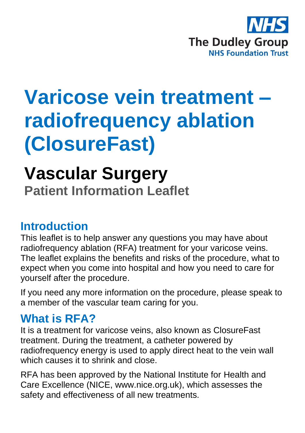

# **Varicose vein treatment – radiofrequency ablation (ClosureFast)**

## **Vascular Surgery Patient Information Leaflet**

## **Introduction**

This leaflet is to help answer any questions you may have about radiofrequency ablation (RFA) treatment for your varicose veins. The leaflet explains the benefits and risks of the procedure, what to expect when you come into hospital and how you need to care for yourself after the procedure.

If you need any more information on the procedure, please speak to a member of the vascular team caring for you.

## **What is RFA?**

It is a treatment for varicose veins, also known as ClosureFast treatment. During the treatment, a catheter powered by radiofrequency energy is used to apply direct heat to the vein wall which causes it to shrink and close.

RFA has been approved by the National Institute for Health and Care Excellence (NICE, www.nice.org.uk), which assesses the safety and effectiveness of all new treatments.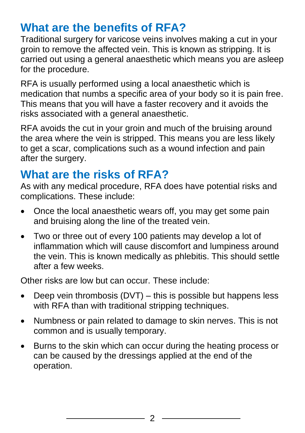## **What are the benefits of RFA?**

Traditional surgery for varicose veins involves making a cut in your groin to remove the affected vein. This is known as stripping. It is carried out using a general anaesthetic which means you are asleep for the procedure.

RFA is usually performed using a local anaesthetic which is medication that numbs a specific area of your body so it is pain free. This means that you will have a faster recovery and it avoids the risks associated with a general anaesthetic.

RFA avoids the cut in your groin and much of the bruising around the area where the vein is stripped. This means you are less likely to get a scar, complications such as a wound infection and pain after the surgery.

## **What are the risks of RFA?**

As with any medical procedure, RFA does have potential risks and complications. These include:

- Once the local anaesthetic wears off, you may get some pain and bruising along the line of the treated vein.
- Two or three out of every 100 patients may develop a lot of inflammation which will cause discomfort and lumpiness around the vein. This is known medically as phlebitis. This should settle after a few weeks.

Other risks are low but can occur. These include:

- Deep vein thrombosis (DVT) this is possible but happens less with RFA than with traditional stripping techniques.
- Numbness or pain related to damage to skin nerves. This is not common and is usually temporary.
- Burns to the skin which can occur during the heating process or can be caused by the dressings applied at the end of the operation.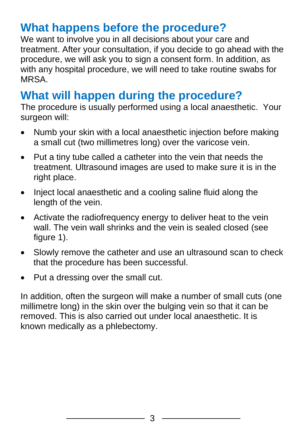## **What happens before the procedure?**

We want to involve you in all decisions about your care and treatment. After your consultation, if you decide to go ahead with the procedure, we will ask you to sign a consent form. In addition, as with any hospital procedure, we will need to take routine swabs for MRSA.

## **What will happen during the procedure?**

The procedure is usually performed using a local anaesthetic. Your surgeon will:

- Numb your skin with a local anaesthetic injection before making a small cut (two millimetres long) over the varicose vein.
- Put a tiny tube called a catheter into the vein that needs the treatment. Ultrasound images are used to make sure it is in the right place.
- Inject local anaesthetic and a cooling saline fluid along the length of the vein.
- Activate the radiofrequency energy to deliver heat to the vein wall. The vein wall shrinks and the vein is sealed closed (see figure 1).
- Slowly remove the catheter and use an ultrasound scan to check that the procedure has been successful.
- Put a dressing over the small cut.

In addition, often the surgeon will make a number of small cuts (one millimetre long) in the skin over the bulging vein so that it can be removed. This is also carried out under local anaesthetic. It is known medically as a phlebectomy.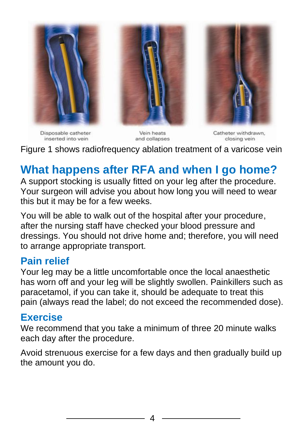

Disposable catheter inserted into vein

Vein heats and collapses

Catheter withdrawn, closing vein

Figure 1 shows radiofrequency ablation treatment of a varicose vein

## **What happens after RFA and when I go home?**

A support stocking is usually fitted on your leg after the procedure. Your surgeon will advise you about how long you will need to wear this but it may be for a few weeks.

You will be able to walk out of the hospital after your procedure, after the nursing staff have checked your blood pressure and dressings. You should not drive home and; therefore, you will need to arrange appropriate transport.

#### **Pain relief**

Your leg may be a little uncomfortable once the local anaesthetic has worn off and your leg will be slightly swollen. Painkillers such as paracetamol, if you can take it, should be adequate to treat this pain (always read the label; do not exceed the recommended dose).

#### **Exercise**

We recommend that you take a minimum of three 20 minute walks each day after the procedure.

Avoid strenuous exercise for a few days and then gradually build up the amount you do.

4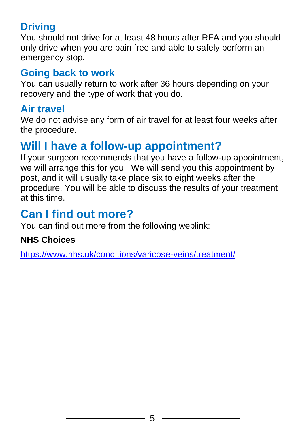## **Driving**

You should not drive for at least 48 hours after RFA and you should only drive when you are pain free and able to safely perform an emergency stop.

## **Going back to work**

You can usually return to work after 36 hours depending on your recovery and the type of work that you do.

## **Air travel**

We do not advise any form of air travel for at least four weeks after the procedure.

## **Will I have a follow-up appointment?**

If your surgeon recommends that you have a follow-up appointment, we will arrange this for you. We will send you this appointment by post, and it will usually take place six to eight weeks after the procedure. You will be able to discuss the results of your treatment at this time.

## **Can I find out more?**

You can find out more from the following weblink:

#### **NHS Choices**

<https://www.nhs.uk/conditions/varicose-veins/treatment/>